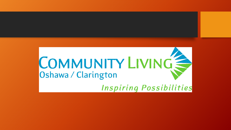## COMMUNITY LIVING Oshawa / Clarington **Inspiring Possibilities**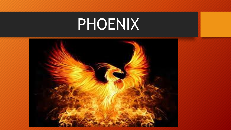# PHOENIX

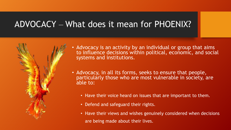#### ADVOCACY ‒ What does it mean for PHOENIX?



- Advocacy is an activity by an individual or group that aims to influence decisions within political, economic, and social systems and institutions.
- Advocacy, in all its forms, seeks to ensure that people, particularly those who are most vulnerable in society, are able to:
	- Have their voice heard on issues that are important to them.
	- Defend and safeguard their rights.
	- Have their views and wishes genuinely considered when decisions are being made about their lives.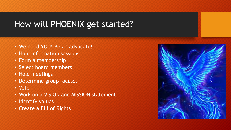### How will PHOENIX get started?

- We need YOU! Be an advocate!
- Hold information sessions
- Form a membership
- Select board members
- Hold meetings
- Determine group focuses
- Vote
- Work on a VISION and MISSION statement
- Identify values
- Create a Bill of Rights

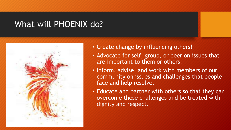#### What will PHOENIX do?



- Create change by influencing others!
- Advocate for self, group, or peer on issues that are important to them or others.
- Inform, advise, and work with members of our community on issues and challenges that people face and help resolve.
- Educate and partner with others so that they can overcome these challenges and be treated with dignity and respect.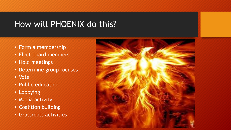#### How will PHOENIX do this?

- Form a membership
- Elect board members
- Hold meetings
- Determine group focuses
- Vote
- Public education
- Lobbying
- Media activity
- Coalition building
- Grassroots activities

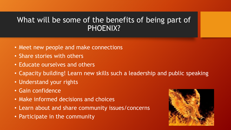#### What will be some of the benefits of being part of PHOENIX?

- Meet new people and make connections
- Share stories with others
- Educate ourselves and others
- Capacity building! Learn new skills such a leadership and public speaking
- Understand your rights
- Gain confidence
- Make informed decisions and choices
- Learn about and share community issues/concerns
- Participate in the community

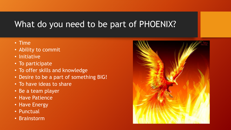#### What do you need to be part of PHOENIX?

- Time
- Ability to commit
- Initiative
- To participate
- To offer skills and knowledge
- Desire to be a part of something BIG!
- To have ideas to share
- Be a team player
- Have Patience
- Have Energy
- Punctual
- Brainstorm